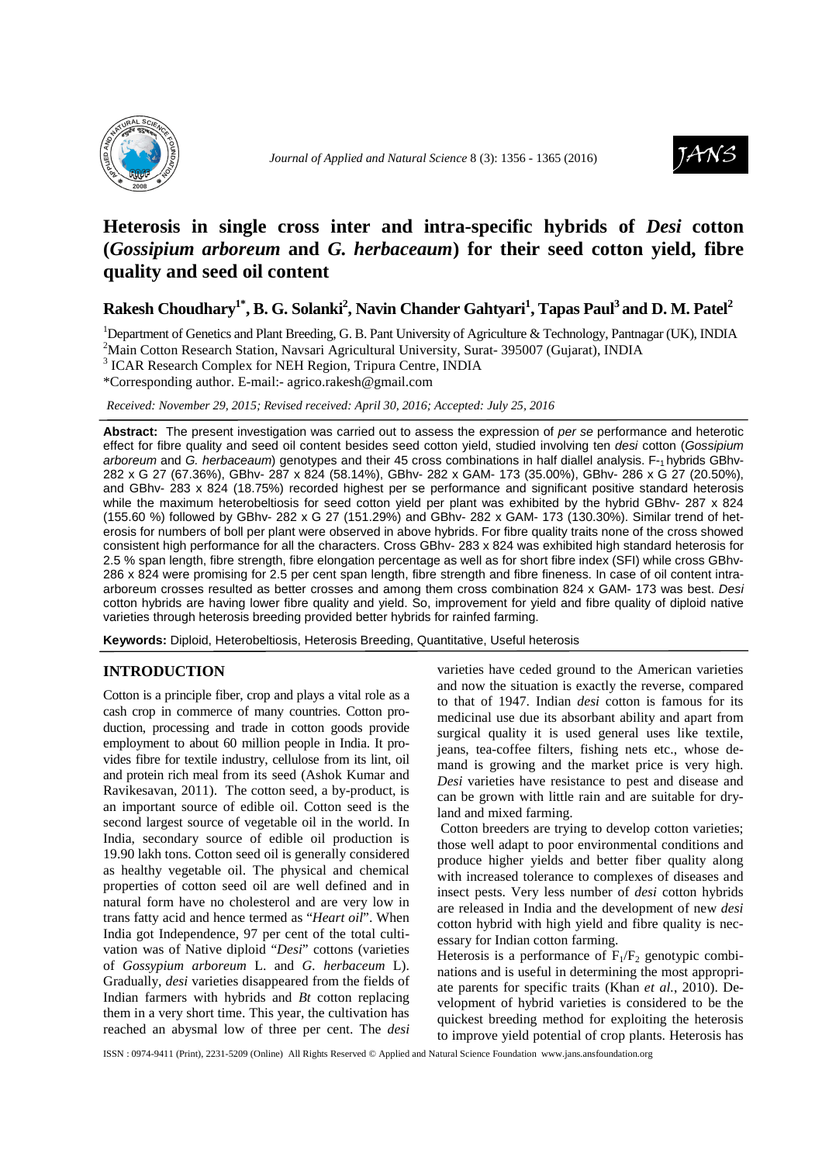



# **Heterosis in single cross inter and intra-specific hybrids of** *Desi* **cotton (***Gossipium arboreum* **and** *G. herbaceaum***) for their seed cotton yield, fibre quality and seed oil content**

## **Rakesh Choudhary1\*, B. G. Solanki<sup>2</sup> , Navin Chander Gahtyari<sup>1</sup> , Tapas Paul<sup>3</sup>and D. M. Patel<sup>2</sup>**

<sup>1</sup>Department of Genetics and Plant Breeding, G. B. Pant University of Agriculture & Technology, Pantnagar (UK), INDIA <sup>2</sup>Main Cotton Research Station, Navsari Agricultural University, Surat- 395007 (Gujarat), INDIA

<sup>3</sup> ICAR Research Complex for NEH Region, Tripura Centre, INDIA

\*Corresponding author. E-mail:- agrico.rakesh@gmail.com

*Received: November 29, 2015; Revised received: April 30, 2016; Accepted: July 25, 2016*

**Abstract:** The present investigation was carried out to assess the expression of per se performance and heterotic effect for fibre quality and seed oil content besides seed cotton yield, studied involving ten desi cotton (Gossipium arboreum and G. herbaceaum) genotypes and their 45 cross combinations in half diallel analysis. F-1 hybrids GBhv-282 x G 27 (67.36%), GBhv- 287 x 824 (58.14%), GBhv- 282 x GAM- 173 (35.00%), GBhv- 286 x G 27 (20.50%), and GBhv- 283 x 824 (18.75%) recorded highest per se performance and significant positive standard heterosis while the maximum heterobeltiosis for seed cotton yield per plant was exhibited by the hybrid GBhv- 287 x 824 (155.60 %) followed by GBhv- 282 x G 27 (151.29%) and GBhv- 282 x GAM- 173 (130.30%). Similar trend of heterosis for numbers of boll per plant were observed in above hybrids. For fibre quality traits none of the cross showed consistent high performance for all the characters. Cross GBhv- 283 x 824 was exhibited high standard heterosis for 2.5 % span length, fibre strength, fibre elongation percentage as well as for short fibre index (SFI) while cross GBhv-286 x 824 were promising for 2.5 per cent span length, fibre strength and fibre fineness. In case of oil content intraarboreum crosses resulted as better crosses and among them cross combination 824 x GAM- 173 was best. Desi cotton hybrids are having lower fibre quality and yield. So, improvement for yield and fibre quality of diploid native varieties through heterosis breeding provided better hybrids for rainfed farming.

**Keywords:** Diploid, Heterobeltiosis, Heterosis Breeding, Quantitative, Useful heterosis

### **INTRODUCTION**

Cotton is a principle fiber, crop and plays a vital role as a cash crop in commerce of many countries. Cotton production, processing and trade in cotton goods provide employment to about 60 million people in India. It provides fibre for textile industry, cellulose from its lint, oil and protein rich meal from its seed (Ashok Kumar and Ravikesavan, 2011). The cotton seed, a by-product, is an important source of edible oil. Cotton seed is the second largest source of vegetable oil in the world. In India, secondary source of edible oil production is 19.90 lakh tons. Cotton seed oil is generally considered as healthy vegetable oil. The physical and chemical properties of cotton seed oil are well defined and in natural form have no cholesterol and are very low in trans fatty acid and hence termed as "*Heart oil*". When India got Independence, 97 per cent of the total cultivation was of Native diploid "*Desi*" cottons (varieties of *Gossypium arboreum* L. and *G. herbaceum* L). Gradually, *desi* varieties disappeared from the fields of Indian farmers with hybrids and *Bt* cotton replacing them in a very short time. This year, the cultivation has reached an abysmal low of three per cent. The *desi*

varieties have ceded ground to the American varieties and now the situation is exactly the reverse, compared to that of 1947. Indian *desi* cotton is famous for its medicinal use due its absorbant ability and apart from surgical quality it is used general uses like textile, jeans, tea-coffee filters, fishing nets etc., whose demand is growing and the market price is very high. *Desi* varieties have resistance to pest and disease and can be grown with little rain and are suitable for dryland and mixed farming.

 Cotton breeders are trying to develop cotton varieties; those well adapt to poor environmental conditions and produce higher yields and better fiber quality along with increased tolerance to complexes of diseases and insect pests. Very less number of *desi* cotton hybrids are released in India and the development of new *desi*  cotton hybrid with high yield and fibre quality is necessary for Indian cotton farming.

Heterosis is a performance of  $F_1/F_2$  genotypic combinations and is useful in determining the most appropriate parents for specific traits (Khan *et al.*, 2010). Development of hybrid varieties is considered to be the quickest breeding method for exploiting the heterosis to improve yield potential of crop plants. Heterosis has

ISSN : 0974-9411 (Print), 2231-5209 (Online) All Rights Reserved © Applied and Natural Science Foundation www.jans.ansfoundation.org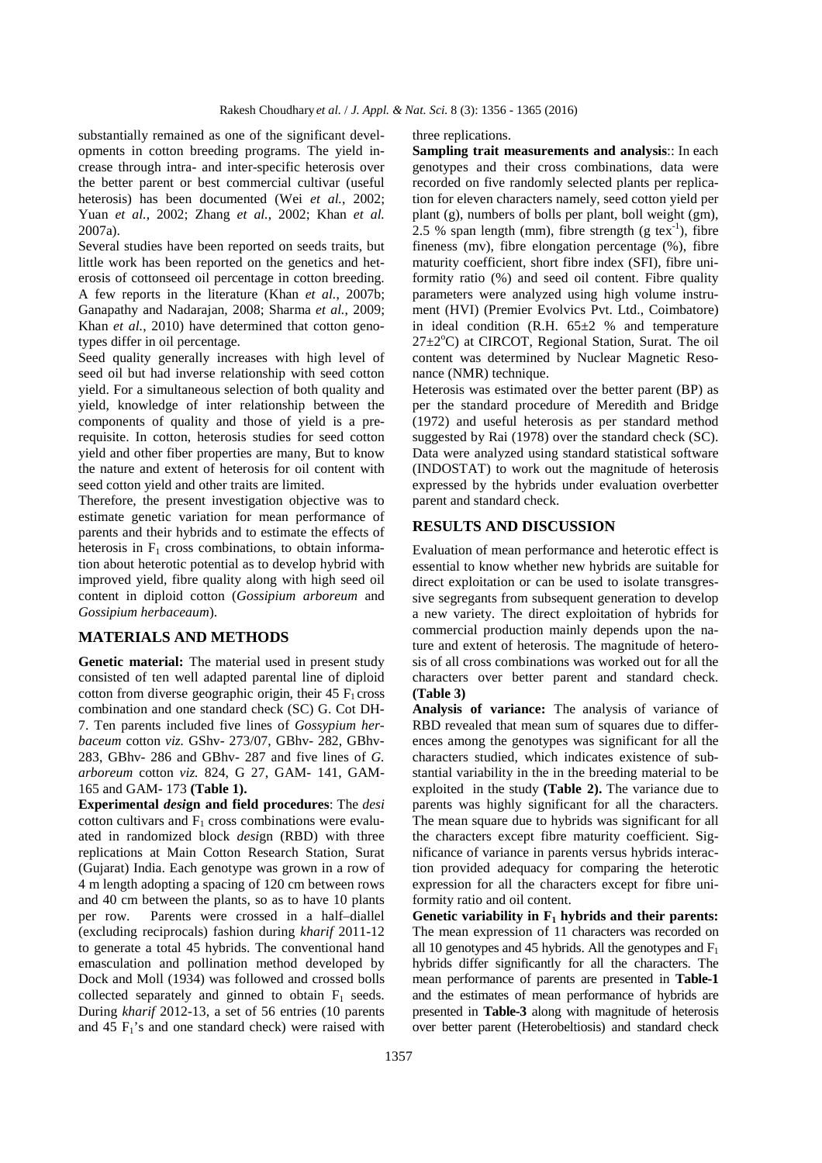substantially remained as one of the significant developments in cotton breeding programs. The yield increase through intra- and inter-specific heterosis over the better parent or best commercial cultivar (useful heterosis) has been documented (Wei *et al.*, 2002; Yuan *et al.*, 2002; Zhang *et al.*, 2002; Khan *et al.* 2007a).

Several studies have been reported on seeds traits, but little work has been reported on the genetics and heterosis of cottonseed oil percentage in cotton breeding. A few reports in the literature (Khan *et al.*, 2007b; Ganapathy and Nadarajan, 2008; Sharma *et al.*, 2009; Khan *et al.*, 2010) have determined that cotton genotypes differ in oil percentage.

Seed quality generally increases with high level of seed oil but had inverse relationship with seed cotton yield. For a simultaneous selection of both quality and yield, knowledge of inter relationship between the components of quality and those of yield is a prerequisite. In cotton, heterosis studies for seed cotton yield and other fiber properties are many, But to know the nature and extent of heterosis for oil content with seed cotton yield and other traits are limited.

Therefore, the present investigation objective was to estimate genetic variation for mean performance of parents and their hybrids and to estimate the effects of heterosis in  $F_1$  cross combinations, to obtain information about heterotic potential as to develop hybrid with improved yield, fibre quality along with high seed oil content in diploid cotton (*Gossipium arboreum* and *Gossipium herbaceaum*).

#### **MATERIALS AND METHODS**

**Genetic material:** The material used in present study consisted of ten well adapted parental line of diploid cotton from diverse geographic origin, their  $45 \text{ F}_1 \text{ cross}$ combination and one standard check (SC) G. Cot DH-7. Ten parents included five lines of *Gossypium herbaceum* cotton *viz.* GShv- 273/07, GBhv- 282, GBhv-283, GBhv- 286 and GBhv- 287 and five lines of *G. arboreum* cotton *viz.* 824, G 27, GAM- 141, GAM-165 and GAM- 173 **(Table 1).** 

**Experimental** *desi***gn and field procedures**: The *desi* cotton cultivars and  $F_1$  cross combinations were evaluated in randomized block *desi*gn (RBD) with three replications at Main Cotton Research Station, Surat (Gujarat) India. Each genotype was grown in a row of 4 m length adopting a spacing of 120 cm between rows and 40 cm between the plants, so as to have 10 plants per row.Parents were crossed in a half–diallel (excluding reciprocals) fashion during *kharif* 2011-12 to generate a total 45 hybrids. The conventional hand emasculation and pollination method developed by Dock and Moll (1934) was followed and crossed bolls collected separately and ginned to obtain  $F_1$  seeds. During *kharif* 2012-13, a set of 56 entries (10 parents and  $45 \text{ F}_1$ 's and one standard check) were raised with three replications.

**Sampling trait measurements and analysis**:: In each genotypes and their cross combinations, data were recorded on five randomly selected plants per replication for eleven characters namely, seed cotton yield per plant (g), numbers of bolls per plant, boll weight (gm), 2.5 % span length (mm), fibre strength (g tex<sup>-1</sup>), fibre fineness (mv), fibre elongation percentage (%), fibre maturity coefficient, short fibre index (SFI), fibre uniformity ratio (%) and seed oil content. Fibre quality parameters were analyzed using high volume instrument (HVI) (Premier Evolvics Pvt. Ltd., Coimbatore) in ideal condition (R.H.  $65\pm2$  % and temperature  $27 \pm 2$ <sup>o</sup>C) at CIRCOT, Regional Station, Surat. The oil content was determined by Nuclear Magnetic Resonance (NMR) technique.

Heterosis was estimated over the better parent (BP) as per the standard procedure of Meredith and Bridge (1972) and useful heterosis as per standard method suggested by Rai (1978) over the standard check (SC). Data were analyzed using standard statistical software (INDOSTAT) to work out the magnitude of heterosis expressed by the hybrids under evaluation overbetter parent and standard check.

#### **RESULTS AND DISCUSSION**

Evaluation of mean performance and heterotic effect is essential to know whether new hybrids are suitable for direct exploitation or can be used to isolate transgressive segregants from subsequent generation to develop a new variety. The direct exploitation of hybrids for commercial production mainly depends upon the nature and extent of heterosis. The magnitude of heterosis of all cross combinations was worked out for all the characters over better parent and standard check. **(Table 3)** 

**Analysis of variance:** The analysis of variance of RBD revealed that mean sum of squares due to differences among the genotypes was significant for all the characters studied, which indicates existence of substantial variability in the in the breeding material to be exploited in the study **(Table 2).** The variance due to parents was highly significant for all the characters. The mean square due to hybrids was significant for all the characters except fibre maturity coefficient. Significance of variance in parents versus hybrids interaction provided adequacy for comparing the heterotic expression for all the characters except for fibre uniformity ratio and oil content.

**Genetic variability in F1 hybrids and their parents:**  The mean expression of 11 characters was recorded on all 10 genotypes and 45 hybrids. All the genotypes and  $F_1$ hybrids differ significantly for all the characters. The mean performance of parents are presented in **Table-1**  and the estimates of mean performance of hybrids are presented in **Table-3** along with magnitude of heterosis over better parent (Heterobeltiosis) and standard check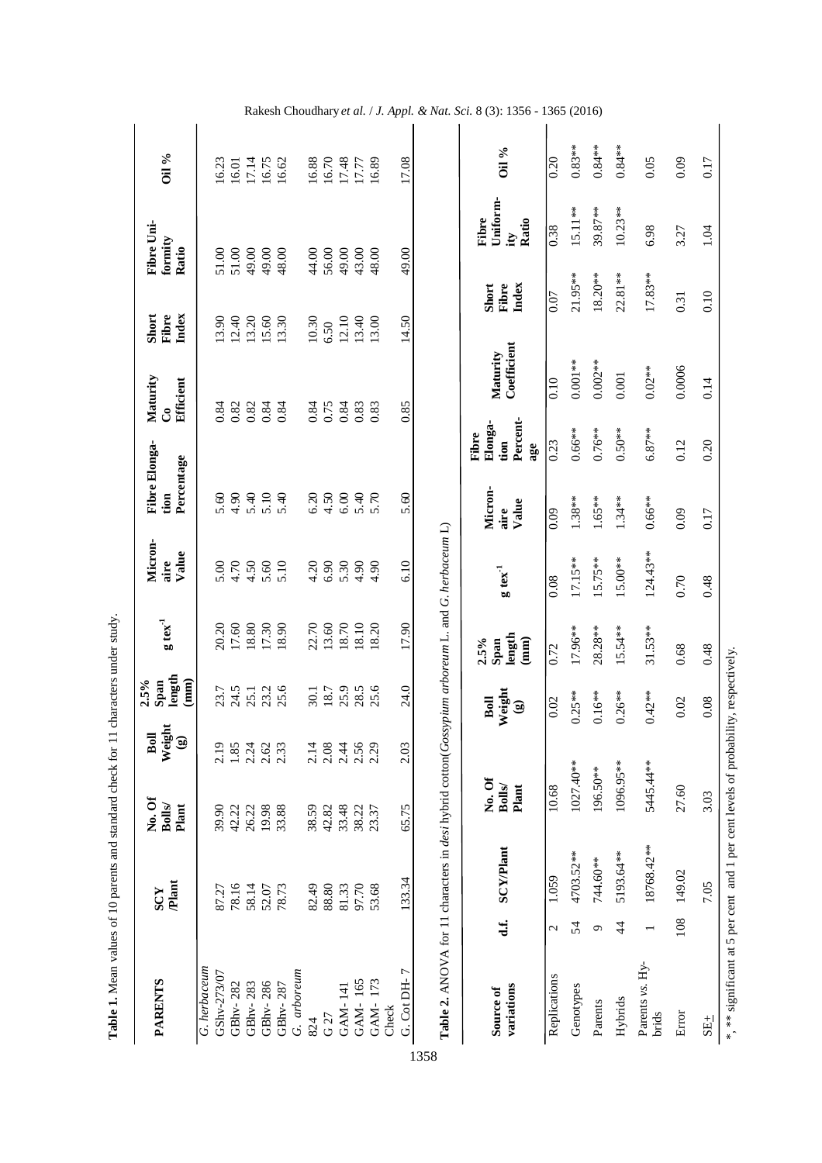| <b>PARENTS</b>                                                                      |                | Plant<br>SCY     | No. Of<br><b>Bolls/</b><br>Plant | $\frac{\text{Boll}}{\text{Weight}}$ | length<br>$2.5\%$<br>(mm)<br>Span | $\rm g~{t}\rm {ex}^{\text{-}1}$   | Micron-<br>Value<br>aire | Fibre Elonga-<br>Percentage<br>tion |                                               | Maturity<br>Efficient<br>ී | Fibre<br>Index<br>Short | Fibre Uni-<br>formity<br>Ratio |                                   | Oil %     |
|-------------------------------------------------------------------------------------|----------------|------------------|----------------------------------|-------------------------------------|-----------------------------------|-----------------------------------|--------------------------|-------------------------------------|-----------------------------------------------|----------------------------|-------------------------|--------------------------------|-----------------------------------|-----------|
| G. herbaceum<br>GShv-273/07                                                         |                | 87.27            | 39.90                            | 2.19                                | 23.7                              | 20.20                             | 5.00                     | 5.60                                |                                               | 0.84                       | 13.90                   | 51.00                          |                                   | 16.23     |
| GBhv-282                                                                            |                | 78.16            | 42.22                            | 1.85                                | 24.5                              | 17.60                             | 4.70                     | 4.90                                |                                               | 0.82                       | 12.40                   | 51.00                          |                                   | 16.01     |
| GBhv-283                                                                            |                | 58.14            | 26.22                            | 2.24                                | 25.1                              | 18.80                             | 4.50                     | 5.40                                |                                               | 0.82                       | 13.20                   | 49.00                          |                                   | 17.14     |
| GBhv-286                                                                            |                | 52.07            | 19.98                            | 2.62                                | 23.2                              |                                   |                          | 5.10                                |                                               | 0.84                       | 15.60                   | 49.00                          |                                   | 16.75     |
| GBhv-287                                                                            |                | 78.73            | 33.88                            | 2.33                                | 25.6                              | 17.30                             | 5.10                     | 5.40                                |                                               | 0.84                       | 13.30                   | 48.00                          |                                   | 16.62     |
| G. arboreum                                                                         |                |                  |                                  |                                     |                                   |                                   |                          |                                     |                                               |                            |                         |                                |                                   |           |
| 824                                                                                 |                | 82.49            | 38.59                            | 2.14                                | 30.1                              | 22.70                             | 4.20                     | 6.20                                |                                               | 0.84                       | 10.30                   | 44.00                          |                                   | 16.88     |
| G 27                                                                                |                | 88.80            | 42.82                            | 2.08                                | 18.7                              | 13.60                             | 6.90                     | 4.50                                |                                               | 0.75                       | 6.50                    | 56.00                          |                                   | 16.70     |
| GAM-141                                                                             |                | 81.33            | 33.48                            | 2.44                                | 25.9                              | 18.70                             |                          | 6.00                                |                                               | 0.84                       | 12.10                   | 49.00                          |                                   |           |
| GAM-165                                                                             |                | 97.70            | 38.22                            | 2.56                                | 28.5                              | 18.10                             | 5.30<br>4.90             | 5.40                                |                                               | 0.83                       | 13.40                   | 43.00                          |                                   | 17.48     |
| GAM-173                                                                             |                | 53.68            | 23.37                            | 2.29                                | 25.6                              | 18.20                             | 4.90                     | 5.70                                |                                               | 0.83                       | 13.00                   | 48.00                          |                                   | 16.89     |
| Check                                                                               |                |                  |                                  |                                     |                                   |                                   |                          |                                     |                                               |                            |                         |                                |                                   |           |
| G. Cot DH-7                                                                         |                | 133.34           | 65.75                            | 2.03                                | 24.0                              | 17.90                             | 6.10                     | 5.60                                |                                               | 0.85                       | 14.50                   | 49.00                          |                                   | 17.08     |
| variations<br>Source of                                                             | d.f            | <b>SCY/Plant</b> | No. Of<br><b>Bolls</b><br>Plant  |                                     | Weight<br>Boll<br>⊛               | length<br>Span<br>$2.5\%$<br>(mm) | $g$ tex $1$              | Micron-<br>Value<br>aire            | Percent-<br>Elonga-<br>Fibre<br>$\lim$<br>age | Coefficient<br>Maturity    | Index<br>Short<br>Fibre |                                | Uniform-<br>Fibre<br>Ratio<br>ity | Oil %     |
| Replications                                                                        | $\mathcal{L}$  | 1.059            | 10.68                            |                                     | 0.02                              | 0.72                              | 0.08                     | 0.09                                | 0.23                                          | 0.10                       | 0.07                    |                                | 0.38                              | 0.20      |
| Genotypes                                                                           | 54             | 4703.52**        | 1027.40**                        |                                     | $0.25***$                         | 17.96**                           | 17.15**                  | $1.38**$                            | $0.66**$                                      | $0.001**$                  |                         | 21.95**                        | $15.11**$                         | $0.83**$  |
| Parents                                                                             | G              | 744.60**         | 196.50**                         |                                     | $0.16***$                         | $28.28**$                         | 15.75**                  | $1.65**$                            | $0.76***$                                     | $0.002**$                  |                         | $18.20**$                      | 39.87**                           | $0.84**$  |
| Hybrids                                                                             | $\overline{4}$ | 5193.64**        | 1096.95**                        |                                     | $0.26***$                         | $15.54***$                        | 15.00**                  | $1.34**$                            | $0.50**$                                      | $0.001\,$                  |                         | $22.81***$                     | $10.23**$                         | $0.84***$ |
| Parents vs. Hy-<br>brids                                                            |                | 18768.42**       | 5445.44**                        |                                     | $0.42***$                         | $31.53***$                        | $124.43**$               | $0.66**$                            | $6.87**$                                      | $0.02**$                   |                         | $17.83**$                      | 6.98                              | 0.05      |
| Error                                                                               | 108            | 149.02           | 27.60                            |                                     | 0.02                              | 0.68                              | 0.70                     | 0.09                                | 0.12                                          | 0.0006                     | 0.31                    |                                | 3.27                              | 0.09      |
| $SE_{\pm}$                                                                          |                | 7.05             | 3.03                             |                                     | 0.08                              | 0.48                              | 0.48                     | 0.17                                | 0.20                                          | 0.14                       | 0.10                    |                                | 1.04                              | 0.17      |
| *, ** significant at 5 per cent and 1 per cent levels of probability, respectively. |                |                  |                                  |                                     |                                   |                                   |                          |                                     |                                               |                            |                         |                                |                                   |           |

Table 1. Mean values of 10 parents and standard check for 11 characters under study. **Table 1.** Mean values of 10 parents and standard check for 11 characters under study.

1358

## Rakesh Choudhary *et al.* / *J. Appl. & Nat. Sci.* 8 (3): 1356 - 1365 (2016)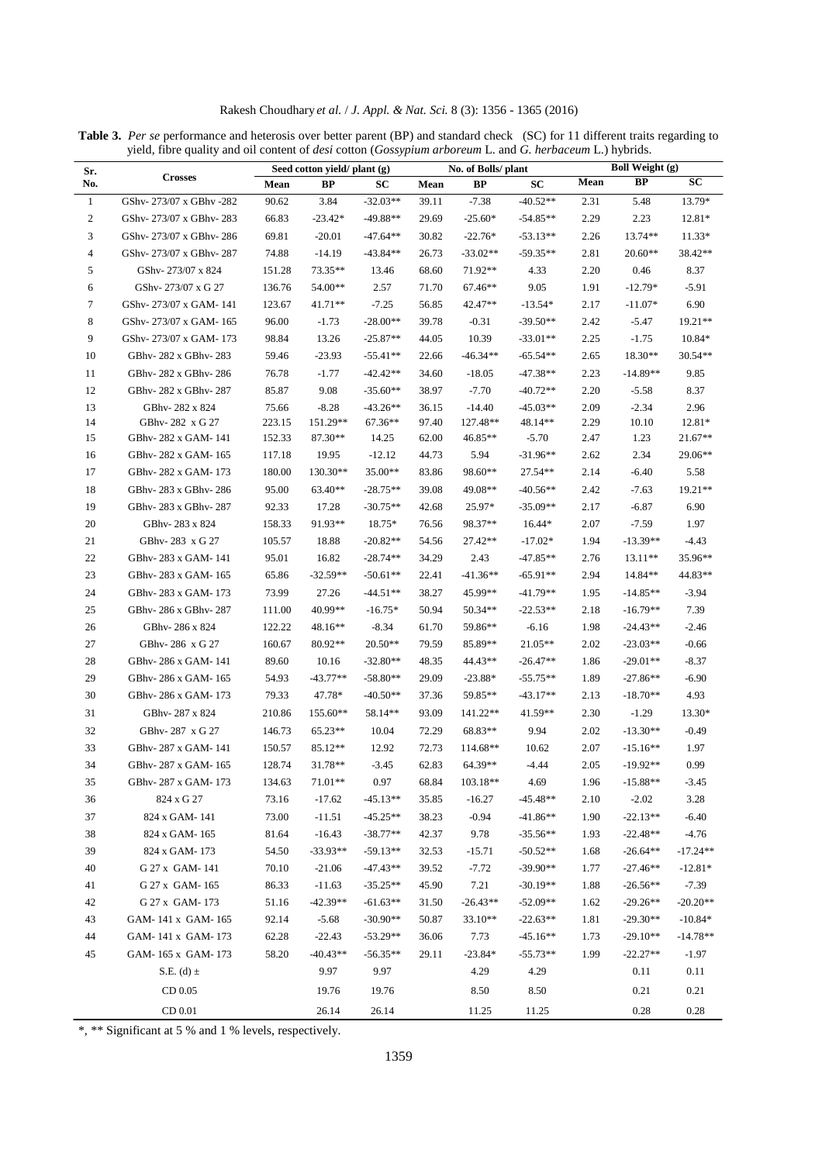|  | Rakesh Choudhary et al. / J. Appl. & Nat. Sci. 8 (3): 1356 - 1365 (2016) |  |  |  |  |
|--|--------------------------------------------------------------------------|--|--|--|--|
|--|--------------------------------------------------------------------------|--|--|--|--|

**Table 3.** *Per se* performance and heterosis over better parent (BP) and standard check (SC) for 11 different traits regarding to yield, fibre quality and oil content of *desi* cotton (*Gossypium arboreum* L. and *G. herbaceum* L.) hybrids.

| Sr.            |                        |        | Seed cotton yield/ plant (g) |            |       | No. of Bolls/ plant |                  |      | <b>Boll Weight (g)</b> |                 |
|----------------|------------------------|--------|------------------------------|------------|-------|---------------------|------------------|------|------------------------|-----------------|
| No.            | <b>Crosses</b>         | Mean   | BP                           | SС         | Mean  | BP                  | SC               | Mean | BP                     | $\overline{SC}$ |
| $\mathbf{1}$   | GShv-273/07 x GBhv-282 | 90.62  | 3.84                         | $-32.03**$ | 39.11 | $-7.38$             | $-40.52**$       | 2.31 | 5.48                   | 13.79*          |
| $\overline{c}$ | GShv-273/07 x GBhv-283 | 66.83  | $-23.42*$                    | $-49.88**$ | 29.69 | $-25.60*$           | $-54.85**$       | 2.29 | 2.23                   | 12.81*          |
| 3              | GShv-273/07 x GBhv-286 | 69.81  | $-20.01$                     | $-47.64**$ | 30.82 | $-22.76*$           | $-53.13**$       | 2.26 | 13.74**                | $11.33*$        |
| 4              | GShv-273/07 x GBhv-287 | 74.88  | $-14.19$                     | $-43.84**$ | 26.73 | $-33.02**$          | $-59.35**$       | 2.81 | 20.60**                | 38.42**         |
| 5              | GShv-273/07 x 824      | 151.28 | 73.35**                      | 13.46      | 68.60 | 71.92**             | 4.33             | 2.20 | 0.46                   | 8.37            |
| 6              | GShv-273/07 x G 27     | 136.76 | 54.00**                      | 2.57       | 71.70 | 67.46**             | 9.05             | 1.91 | $-12.79*$              | $-5.91$         |
| 7              | GShv-273/07 x GAM-141  | 123.67 | 41.71**                      | $-7.25$    | 56.85 | 42.47**             | $-13.54*$        | 2.17 | $-11.07*$              | 6.90            |
| 8              | GShv-273/07 x GAM-165  | 96.00  | $-1.73$                      | $-28.00**$ | 39.78 | $-0.31$             | $-39.50**$       | 2.42 | $-5.47$                | 19.21**         |
| 9              | GShv-273/07 x GAM-173  | 98.84  | 13.26                        | $-25.87**$ | 44.05 | 10.39               | $-33.01**$       | 2.25 | $-1.75$                | 10.84*          |
| 10             | GBhv-282 x GBhv-283    | 59.46  | $-23.93$                     | $-55.41**$ | 22.66 | $-46.34**$          | $-65.54**$       | 2.65 | 18.30**                | 30.54**         |
| 11             | GBhv-282 x GBhv-286    | 76.78  | $-1.77$                      | $-42.42**$ | 34.60 | $-18.05$            | $-47.38**$       | 2.23 | $-14.89**$             | 9.85            |
| 12             | GBhv-282 x GBhv-287    | 85.87  | 9.08                         | $-35.60**$ | 38.97 | $-7.70$             | $-40.72**$       | 2.20 | $-5.58$                | 8.37            |
| 13             | GBhv-282 x 824         | 75.66  | $-8.28$                      | $-43.26**$ | 36.15 | $-14.40$            | $-45.03**$       | 2.09 | $-2.34$                | 2.96            |
| 14             | GBhv-282 x G 27        | 223.15 | 151.29**                     | 67.36**    | 97.40 | 127.48**            | 48.14**          | 2.29 | 10.10                  | 12.81*          |
| 15             | GBhv-282 x GAM-141     | 152.33 | $87.30**$                    | 14.25      | 62.00 | $46.85**$           | $-5.70$          | 2.47 | 1.23                   | 21.67**         |
| 16             | GBhv-282 x GAM-165     | 117.18 | 19.95                        | $-12.12$   | 44.73 | 5.94                | $-31.96**$       | 2.62 | 2.34                   | 29.06**         |
| 17             | GBhv-282 x GAM-173     | 180.00 | 130.30**                     | 35.00**    | 83.86 | 98.60**             | 27.54**          | 2.14 | $-6.40$                | 5.58            |
| 18             | GBhv-283 x GBhv-286    | 95.00  | $63.40**$                    | $-28.75**$ | 39.08 | 49.08**             | $-40.56**$       | 2.42 | $-7.63$                | 19.21**         |
| 19             | GBhv-283 x GBhv-287    | 92.33  | 17.28                        | $-30.75**$ | 42.68 | 25.97*              | $-35.09**$       | 2.17 | $-6.87$                | 6.90            |
| 20             | GBhv-283 x 824         | 158.33 | 91.93**                      | 18.75*     | 76.56 | 98.37**             | 16.44*           | 2.07 | $-7.59$                | 1.97            |
| 21             | GBhv-283 x G 27        | 105.57 | 18.88                        | $-20.82**$ | 54.56 | $27.42**$           | $-17.02*$        | 1.94 | $-13.39**$             | $-4.43$         |
| 22             | GBhv-283 x GAM-141     | 95.01  | 16.82                        | $-28.74**$ | 34.29 | 2.43                | $-47.85**$       | 2.76 | $13.11**$              | 35.96**         |
| 23             | GBhv-283 x GAM-165     | 65.86  | $-32.59**$                   | $-50.61**$ | 22.41 | $-41.36**$          | $-65.91**$       | 2.94 | 14.84**                | 44.83**         |
| 24             | GBhv-283 x GAM-173     | 73.99  | 27.26                        | $-44.51**$ | 38.27 | 45.99**             | $-41.79**$       | 1.95 | $-14.85**$             | $-3.94$         |
| 25             | GBhv-286 x GBhv-287    | 111.00 | 40.99**                      | $-16.75*$  | 50.94 | $50.34**$           | $-22.53**$       | 2.18 | $-16.79**$             | 7.39            |
| 26             | GBhv-286 x 824         | 122.22 | 48.16**                      | $-8.34$    | 61.70 | 59.86**             | $-6.16$          | 1.98 | $-24.43**$             | $-2.46$         |
| 27             | GBhv-286 x G 27        | 160.67 | 80.92**                      | $20.50**$  | 79.59 | 85.89**             | 21.05**          | 2.02 | $-23.03**$             | $-0.66$         |
| $28\,$         | GBhv-286 x GAM-141     | 89.60  | 10.16                        | $-32.80**$ | 48.35 | 44.43**             | $-26.47**$       | 1.86 | $-29.01**$             | $-8.37$         |
| 29             | GBhv-286 x GAM-165     | 54.93  | $-43.77**$                   | $-58.80**$ | 29.09 | $-23.88*$           | $-55.75**$       | 1.89 | $-27.86**$             | $-6.90$         |
| 30             | GBhv-286 x GAM-173     | 79.33  | 47.78*                       | $-40.50**$ | 37.36 | 59.85**             | $-43.17**$       | 2.13 | $-18.70**$             | 4.93            |
| 31             | GBhv-287 x 824         | 210.86 | 155.60**                     | 58.14**    | 93.09 | 141.22**            | 41.59**          | 2.30 | $-1.29$                | 13.30*          |
| 32             | GBhv-287 x G 27        | 146.73 | $65.23**$                    | 10.04      | 72.29 | 68.83**             | 9.94             | 2.02 | $-13.30**$             | $-0.49$         |
| 33             | GBhv-287 x GAM-141     | 150.57 |                              | 12.92      | 72.73 | 114.68**            |                  | 2.07 | $-15.16**$             | 1.97            |
| 34             |                        |        | 85.12**                      | $-3.45$    | 62.83 | 64.39**             | 10.62<br>$-4.44$ | 2.05 |                        | 0.99            |
|                | GBhv-287 x GAM-165     | 128.74 | 31.78**                      |            |       |                     |                  |      | $-19.92**$             |                 |
| 35             | GBhv-287 x GAM-173     | 134.63 | 71.01**                      | 0.97       | 68.84 | 103.18**            | 4.69             | 1.96 | $-15.88**$             | $-3.45$         |
| 36             | 824 x G 27             | 73.16  | $-17.62$                     | $-45.13**$ | 35.85 | $-16.27$            | $-45.48**$       | 2.10 | $-2.02$                | 3.28            |
| 37             | 824 x GAM-141          | 73.00  | $-11.51$                     | $-45.25**$ | 38.23 | $-0.94$             | $-41.86**$       | 1.90 | $-22.13**$             | $-6.40$         |
| 38             | 824 x GAM-165          | 81.64  | $-16.43$                     | $-38.77**$ | 42.37 | 9.78                | $-35.56**$       | 1.93 | $-22.48**$             | $-4.76$         |
| 39             | 824 x GAM-173          | 54.50  | $-33.93**$                   | $-59.13**$ | 32.53 | $-15.71$            | $-50.52**$       | 1.68 | $-26.64**$             | $-17.24**$      |
| 40             | G 27 x GAM-141         | 70.10  | $-21.06$                     | $-47.43**$ | 39.52 | $-7.72$             | $-39.90**$       | 1.77 | $-27.46**$             | $-12.81*$       |
| 41             | G 27 x GAM-165         | 86.33  | $-11.63$                     | $-35.25**$ | 45.90 | 7.21                | $-30.19**$       | 1.88 | $-26.56**$             | $-7.39$         |
| 42             | G 27 x GAM-173         | 51.16  | $-42.39**$                   | $-61.63**$ | 31.50 | $-26.43**$          | $-52.09**$       | 1.62 | $-29.26**$             | $-20.20**$      |
| 43             | GAM-141 x GAM-165      | 92.14  | $-5.68$                      | $-30.90**$ | 50.87 | 33.10**             | $-22.63**$       | 1.81 | $-29.30**$             | $-10.84*$       |
| 44             | GAM-141 x GAM-173      | 62.28  | $-22.43$                     | $-53.29**$ | 36.06 | 7.73                | $-45.16**$       | 1.73 | $-29.10**$             | $-14.78**$      |
| 45             | GAM-165 x GAM-173      | 58.20  | $-40.43**$                   | $-56.35**$ | 29.11 | $-23.84*$           | $-55.73**$       | 1.99 | $-22.27**$             | $-1.97$         |
|                | S.E. (d) $\pm$         |        | 9.97                         | 9.97       |       | 4.29                | 4.29             |      | 0.11                   | 0.11            |
|                | $CD$ 0.05              |        | 19.76                        | 19.76      |       | 8.50                | 8.50             |      | 0.21                   | 0.21            |
|                | $CD$ 0.01              |        | 26.14                        | 26.14      |       | 11.25               | 11.25            |      | 0.28                   | 0.28            |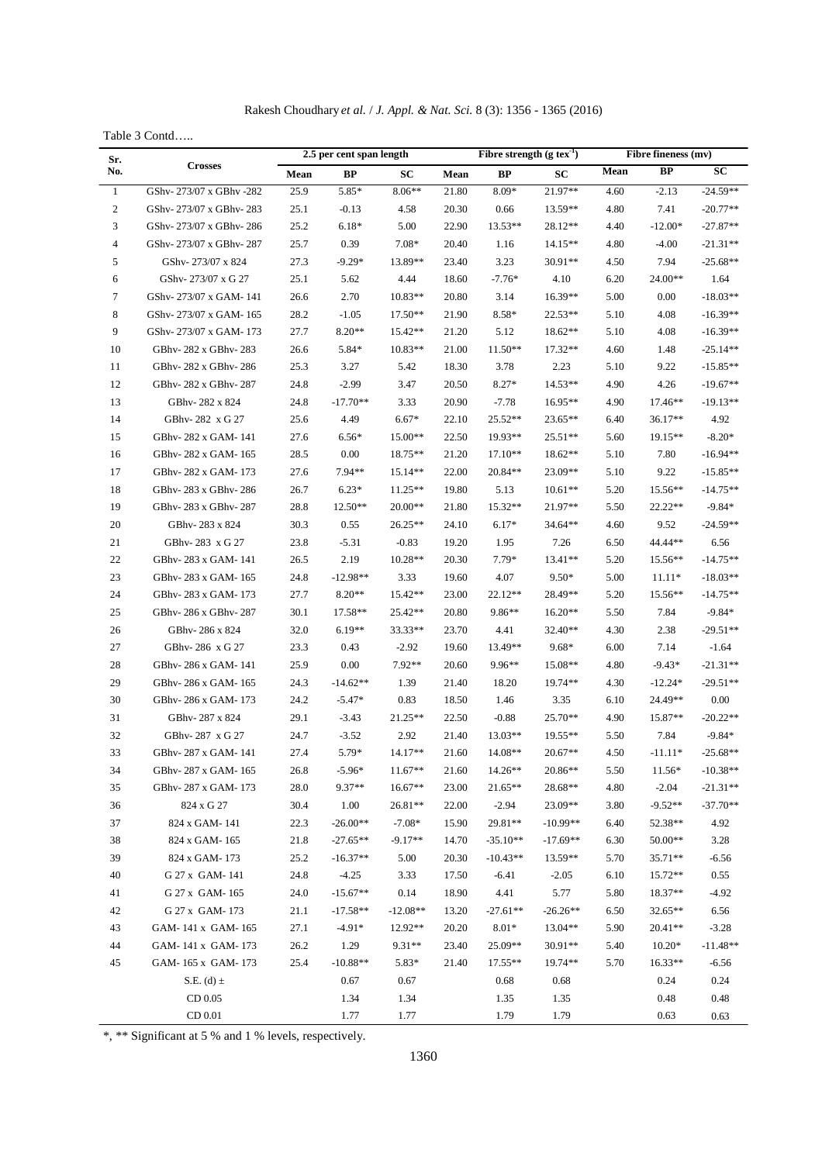|  |  |  | Table 3 Contd |
|--|--|--|---------------|
|--|--|--|---------------|

| Sr.                      |                        |          | 2.5 per cent span length |            |       | Fibre strength $(g \text{tex}^{-1})$ |            |      | Fibre fineness (mv) |            |
|--------------------------|------------------------|----------|--------------------------|------------|-------|--------------------------------------|------------|------|---------------------|------------|
| No.                      | <b>Crosses</b>         | Mean     | BP                       | SC         | Mean  | BP                                   | SC         | Mean | <b>BP</b>           | SC         |
| $\mathbf{1}$             | GShv-273/07 x GBhv-282 | 25.9     | 5.85*                    | $8.06**$   | 21.80 | $8.09*$                              | 21.97**    | 4.60 | $-2.13$             | $-24.59**$ |
| $\overline{c}$           | GShv-273/07 x GBhv-283 | 25.1     | $-0.13$                  | 4.58       | 20.30 | 0.66                                 | 13.59**    | 4.80 | 7.41                | $-20.77**$ |
| 3                        | GShv-273/07 x GBhv-286 | 25.2     | $6.18*$                  | 5.00       | 22.90 | 13.53**                              | 28.12**    | 4.40 | $-12.00*$           | $-27.87**$ |
| $\overline{\mathcal{L}}$ | GShv-273/07 x GBhv-287 | 25.7     | 0.39                     | $7.08*$    | 20.40 | 1.16                                 | 14.15**    | 4.80 | $-4.00$             | $-21.31**$ |
| 5                        | GShv-273/07 x 824      | 27.3     | $-9.29*$                 | 13.89**    | 23.40 | 3.23                                 | 30.91**    | 4.50 | 7.94                | $-25.68**$ |
| 6                        | GShv-273/07 x G 27     | 25.1     | 5.62                     | 4.44       | 18.60 | $-7.76*$                             | 4.10       | 6.20 | 24.00**             | 1.64       |
| 7                        | GShv-273/07 x GAM-141  | 26.6     | 2.70                     | 10.83**    | 20.80 | 3.14                                 | 16.39**    | 5.00 | 0.00                | $-18.03**$ |
| 8                        | GShv-273/07 x GAM-165  | 28.2     | $-1.05$                  | 17.50**    | 21.90 | $8.58*$                              | 22.53**    | 5.10 | 4.08                | $-16.39**$ |
| 9                        | GShv-273/07 x GAM-173  | 27.7     | 8.20**                   | 15.42**    | 21.20 | 5.12                                 | 18.62**    | 5.10 | 4.08                | $-16.39**$ |
| 10                       | GBhv-282 x GBhv-283    | 26.6     | 5.84*                    | 10.83**    | 21.00 | $11.50**$                            | 17.32**    | 4.60 | 1.48                | $-25.14**$ |
| 11                       | GBhv-282 x GBhv-286    | 25.3     | 3.27                     | 5.42       | 18.30 | 3.78                                 | 2.23       | 5.10 | 9.22                | $-15.85**$ |
| 12                       | GBhv-282 x GBhv-287    | 24.8     | $-2.99$                  | 3.47       | 20.50 | $8.27*$                              | 14.53**    | 4.90 | 4.26                | $-19.67**$ |
| 13                       | GBhv-282 x 824         | 24.8     | $-17.70**$               | 3.33       | 20.90 | $-7.78$                              | 16.95**    | 4.90 | 17.46**             | $-19.13**$ |
| 14                       | GBhv-282 x G 27        | 25.6     | 4.49                     | $6.67*$    | 22.10 | 25.52**                              | 23.65**    | 6.40 | 36.17**             | 4.92       |
| 15                       | GBhv-282 x GAM-141     | 27.6     | $6.56*$                  | 15.00**    | 22.50 | 19.93**                              | 25.51**    | 5.60 | 19.15**             | $-8.20*$   |
| 16                       | GBhv-282 x GAM-165     | 28.5     | 0.00                     | $18.75**$  | 21.20 | $17.10**$                            | 18.62**    | 5.10 | 7.80                | $-16.94**$ |
| 17                       | GBhv-282 x GAM-173     | 27.6     | 7.94**                   | 15.14**    | 22.00 | 20.84**                              | 23.09**    | 5.10 | 9.22                | $-15.85**$ |
| 18                       | GBhv-283 x GBhv-286    | 26.7     | $6.23*$                  | $11.25**$  | 19.80 | 5.13                                 | $10.61**$  | 5.20 | 15.56**             | $-14.75**$ |
| 19                       | GBhv-283 x GBhv-287    | 28.8     | 12.50**                  | $20.00**$  | 21.80 | 15.32**                              | 21.97**    | 5.50 | 22.22**             | $-9.84*$   |
| 20                       | GBhv-283 x 824         | 30.3     | 0.55                     | 26.25**    | 24.10 | $6.17*$                              | 34.64**    | 4.60 | 9.52                | $-24.59**$ |
| 21                       | GBhv-283 x G 27        | 23.8     | $-5.31$                  | $-0.83$    | 19.20 | 1.95                                 | 7.26       | 6.50 | 44.44**             | 6.56       |
| $22\,$                   | GBhv-283 x GAM-141     | 26.5     | 2.19                     | 10.28**    | 20.30 | 7.79*                                | 13.41**    | 5.20 | 15.56**             | $-14.75**$ |
| 23                       | GBhv-283 x GAM-165     | 24.8     | $-12.98**$               | 3.33       | 19.60 | 4.07                                 | $9.50*$    | 5.00 | $11.11*$            | $-18.03**$ |
| 24                       | GBhv-283 x GAM-173     | 27.7     | $8.20**$                 | 15.42**    | 23.00 | 22.12**                              | 28.49**    | 5.20 | 15.56**             | $-14.75**$ |
| 25                       | GBhv-286 x GBhv-287    | 30.1     | 17.58**                  | 25.42**    | 20.80 | $9.86**$                             | 16.20**    | 5.50 | 7.84                | $-9.84*$   |
| 26                       | GBhv-286 x 824         | 32.0     | $6.19**$                 | 33.33**    | 23.70 | 4.41                                 | 32.40**    | 4.30 | 2.38                | $-29.51**$ |
| 27                       | GBhv-286 x G 27        | 23.3     | 0.43                     | $-2.92$    | 19.60 | 13.49**                              | $9.68*$    | 6.00 | 7.14                | $-1.64$    |
| 28                       | GBhv-286 x GAM-141     | 25.9     | $0.00\,$                 | $7.92**$   | 20.60 | 9.96**                               | 15.08**    | 4.80 | $-9.43*$            | $-21.31**$ |
| 29                       | GBhv-286 x GAM-165     | 24.3     | $-14.62**$               | 1.39       | 21.40 | 18.20                                | 19.74**    | 4.30 | $-12.24*$           | $-29.51**$ |
| 30                       | GBhv-286 x GAM-173     | 24.2     | $-5.47*$                 | 0.83       | 18.50 | 1.46                                 | 3.35       | 6.10 | 24.49**             | $0.00\,$   |
| 31                       | GBhv-287 x 824         | 29.1     | $-3.43$                  | 21.25**    | 22.50 | $-0.88$                              | 25.70**    | 4.90 | 15.87**             | $-20.22**$ |
| 32                       | GBhv-287 x G 27        | 24.7     | $-3.52$                  | 2.92       | 21.40 | 13.03**                              | 19.55**    | 5.50 | 7.84                | $-9.84*$   |
| 33                       | GBhv-287 x GAM-141     | 27.4     | 5.79*                    | 14.17**    | 21.60 | 14.08**                              | 20.67**    | 4.50 | $-11.11*$           | $-25.68**$ |
| 34                       | GBhv-287 x GAM-165     | 26.8     | $-5.96*$                 | 11.67**    | 21.60 | 14.26**                              | 20.86**    | 5.50 | 11.56*              | $-10.38**$ |
| 35                       | GBhv-287 x GAM-173     | $28.0\,$ | 9.37**                   | 16.67**    | 23.00 | 21.65**                              | 28.68**    | 4.80 | $-2.04$             | $-21.31**$ |
| 36                       | 824 x G 27             | 30.4     | 1.00                     | 26.81**    | 22.00 | $-2.94$                              | 23.09**    | 3.80 | $-9.52**$           | $-37.70**$ |
| 37                       | 824 x GAM-141          | 22.3     | $-26.00**$               | $-7.08*$   | 15.90 | 29.81**                              | $-10.99**$ | 6.40 | 52.38**             | 4.92       |
| 38                       | 824 x GAM-165          | 21.8     | $-27.65**$               | $-9.17**$  | 14.70 | $-35.10**$                           | $-17.69**$ | 6.30 | 50.00**             | 3.28       |
| 39                       | 824 x GAM-173          | 25.2     | $-16.37**$               | 5.00       | 20.30 | $-10.43**$                           | 13.59**    | 5.70 | 35.71**             | $-6.56$    |
| 40                       | G 27 x GAM-141         | 24.8     | $-4.25$                  | 3.33       | 17.50 | $-6.41$                              | $-2.05$    | 6.10 | $15.72**$           | 0.55       |
| 41                       | G 27 x GAM-165         | 24.0     | $-15.67**$               | 0.14       | 18.90 | 4.41                                 | 5.77       | 5.80 | 18.37**             | $-4.92$    |
| 42                       | G 27 x GAM-173         | 21.1     | $-17.58**$               | $-12.08**$ | 13.20 | $-27.61**$                           | $-26.26**$ | 6.50 | $32.65**$           | 6.56       |
| 43                       | GAM-141 x GAM-165      | 27.1     | $-4.91*$                 | 12.92**    | 20.20 | $8.01*$                              | 13.04**    | 5.90 | $20.41**$           | $-3.28$    |
| 44                       | GAM-141 x GAM-173      | 26.2     | 1.29                     | $9.31**$   | 23.40 | 25.09**                              | $30.91**$  | 5.40 | $10.20*$            | $-11.48**$ |
| 45                       | GAM-165 x GAM-173      | 25.4     | $-10.88**$               | $5.83*$    | 21.40 | 17.55**                              | 19.74**    | 5.70 | 16.33**             | $-6.56$    |
|                          | S.E. (d) $\pm$         |          | 0.67                     | 0.67       |       | 0.68                                 | 0.68       |      | 0.24                | 0.24       |
|                          | ${\rm CD}$ $0.05$      |          | 1.34                     | 1.34       |       | 1.35                                 | 1.35       |      | 0.48                | 0.48       |
|                          | CD 0.01                |          | 1.77                     | 1.77       |       | 1.79                                 | 1.79       |      | 0.63                | 0.63       |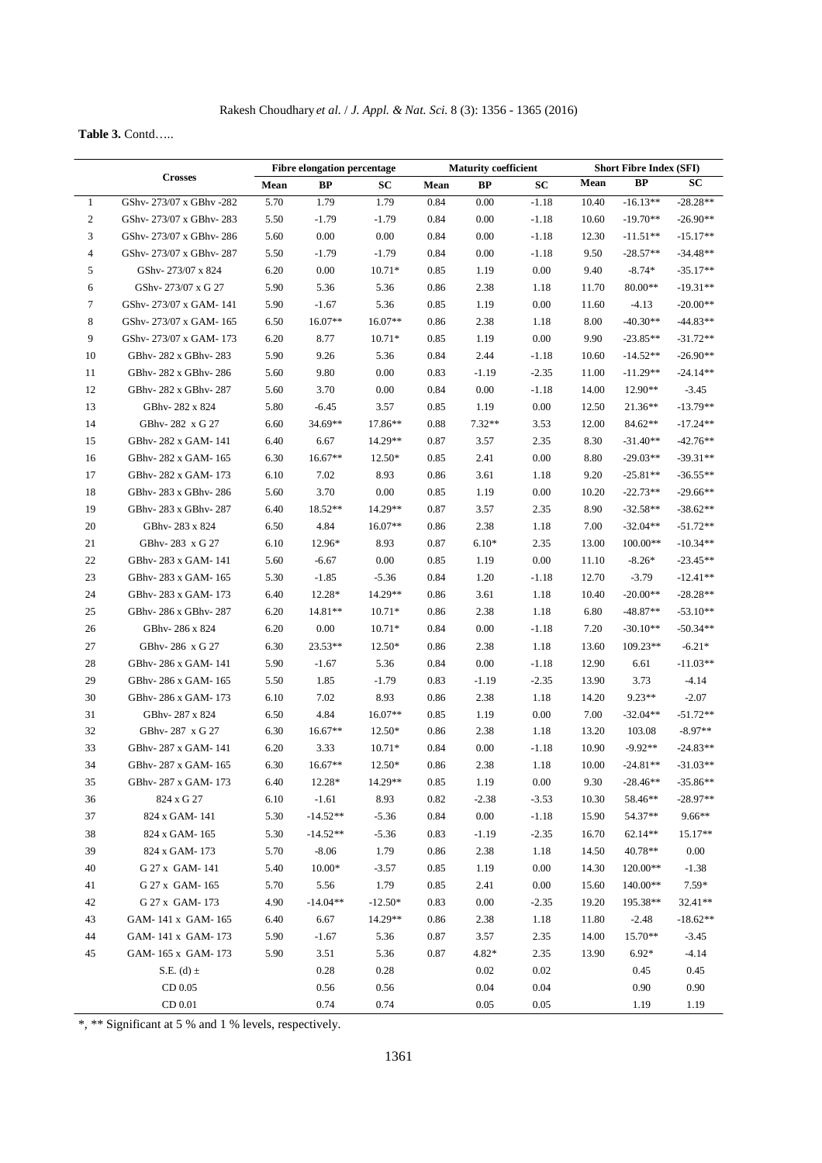**Table 3.** Contd…..

|                |                        |      | <b>Fibre elongation percentage</b> |           |      | <b>Maturity coefficient</b> |           |       | <b>Short Fibre Index (SFI)</b> |            |
|----------------|------------------------|------|------------------------------------|-----------|------|-----------------------------|-----------|-------|--------------------------------|------------|
|                | <b>Crosses</b>         | Mean | BP                                 | SC        | Mean | BP                          | <b>SC</b> | Mean  | <b>BP</b>                      | SC         |
| $\mathbf{1}$   | GShv-273/07 x GBhv-282 | 5.70 | 1.79                               | 1.79      | 0.84 | $0.00\,$                    | $-1.18$   | 10.40 | $-16.13**$                     | $-28.28**$ |
| $\sqrt{2}$     | GShv-273/07 x GBhv-283 | 5.50 | $-1.79$                            | $-1.79$   | 0.84 | $0.00\,$                    | $-1.18$   | 10.60 | $-19.70**$                     | $-26.90**$ |
| 3              | GShv-273/07 x GBhv-286 | 5.60 | $0.00\,$                           | 0.00      | 0.84 | 0.00                        | $-1.18$   | 12.30 | $-11.51**$                     | $-15.17**$ |
| $\overline{4}$ | GShv-273/07 x GBhv-287 | 5.50 | $-1.79$                            | $-1.79$   | 0.84 | $0.00\,$                    | $-1.18$   | 9.50  | $-28.57**$                     | $-34.48**$ |
| 5              | GShv-273/07 x 824      | 6.20 | 0.00                               | $10.71*$  | 0.85 | 1.19                        | $0.00\,$  | 9.40  | $-8.74*$                       | $-35.17**$ |
| 6              | GShv-273/07 x G 27     | 5.90 | 5.36                               | 5.36      | 0.86 | 2.38                        | 1.18      | 11.70 | 80.00**                        | $-19.31**$ |
| $\tau$         | GShv-273/07 x GAM-141  | 5.90 | $-1.67$                            | 5.36      | 0.85 | 1.19                        | 0.00      | 11.60 | $-4.13$                        | $-20.00**$ |
| 8              | GShv-273/07 x GAM-165  | 6.50 | 16.07**                            | 16.07**   | 0.86 | 2.38                        | 1.18      | 8.00  | $-40.30**$                     | $-44.83**$ |
| 9              | GShv-273/07 x GAM-173  | 6.20 | 8.77                               | $10.71*$  | 0.85 | 1.19                        | 0.00      | 9.90  | $-23.85**$                     | $-31.72**$ |
| 10             | GBhv-282 x GBhv-283    | 5.90 | 9.26                               | 5.36      | 0.84 | 2.44                        | $-1.18$   | 10.60 | $-14.52**$                     | $-26.90**$ |
| 11             | GBhv-282 x GBhv-286    | 5.60 | 9.80                               | 0.00      | 0.83 | $-1.19$                     | $-2.35$   | 11.00 | $-11.29**$                     | $-24.14**$ |
| 12             | GBhv-282 x GBhv-287    | 5.60 | 3.70                               | 0.00      | 0.84 | $0.00\,$                    | $-1.18$   | 14.00 | 12.90**                        | $-3.45$    |
| 13             | GBhv-282 x 824         | 5.80 | $-6.45$                            | 3.57      | 0.85 | 1.19                        | 0.00      | 12.50 | 21.36**                        | $-13.79**$ |
| 14             | GBhv-282 x G 27        | 6.60 | 34.69**                            | 17.86**   | 0.88 | $7.32**$                    | 3.53      | 12.00 | 84.62**                        | $-17.24**$ |
| 15             | GBhv-282 x GAM-141     | 6.40 | 6.67                               | 14.29**   | 0.87 | 3.57                        | 2.35      | 8.30  | $-31.40**$                     | $-42.76**$ |
| 16             | GBhv-282 x GAM-165     | 6.30 | 16.67**                            | 12.50*    | 0.85 | 2.41                        | 0.00      | 8.80  | $-29.03**$                     | $-39.31**$ |
| 17             | GBhv-282 x GAM-173     | 6.10 | 7.02                               | 8.93      | 0.86 | 3.61                        | 1.18      | 9.20  | $-25.81**$                     | $-36.55**$ |
| 18             | GBhv-283 x GBhv-286    | 5.60 | 3.70                               | 0.00      | 0.85 | 1.19                        | 0.00      | 10.20 | $-22.73**$                     | $-29.66**$ |
| 19             | GBhv-283 x GBhv-287    | 6.40 | 18.52**                            | 14.29**   | 0.87 | 3.57                        | 2.35      | 8.90  | $-32.58**$                     | $-38.62**$ |
| 20             | GBhv-283 x 824         | 6.50 | 4.84                               | 16.07**   | 0.86 | 2.38                        | 1.18      | 7.00  | $-32.04**$                     | $-51.72**$ |
| 21             | GBhv-283 x G 27        | 6.10 | 12.96*                             | 8.93      | 0.87 | $6.10*$                     | 2.35      | 13.00 | 100.00**                       | $-10.34**$ |
| 22             | GBhv-283 x GAM-141     | 5.60 | $-6.67$                            | $0.00\,$  | 0.85 | 1.19                        | 0.00      | 11.10 | $-8.26*$                       | $-23.45**$ |
| $23\,$         | GBhv-283 x GAM-165     | 5.30 | $-1.85$                            | $-5.36$   | 0.84 | 1.20                        | $-1.18$   | 12.70 | $-3.79$                        | $-12.41**$ |
| 24             | GBhv-283 x GAM-173     | 6.40 | 12.28*                             | 14.29**   | 0.86 | 3.61                        | 1.18      | 10.40 | $-20.00**$                     | $-28.28**$ |
| 25             | GBhv-286 x GBhv-287    | 6.20 | 14.81**                            | $10.71*$  | 0.86 | 2.38                        | 1.18      | 6.80  | $-48.87**$                     | $-53.10**$ |
| 26             | GBhv-286 x 824         | 6.20 | 0.00                               | $10.71*$  | 0.84 | $0.00\,$                    | $-1.18$   | 7.20  | $-30.10**$                     | $-50.34**$ |
| 27             | GBhv-286 x G 27        | 6.30 | 23.53**                            | 12.50*    | 0.86 | 2.38                        | 1.18      | 13.60 | 109.23**                       | $-6.21*$   |
| 28             | GBhv-286 x GAM-141     | 5.90 | $-1.67$                            | 5.36      | 0.84 | $0.00\,$                    | $-1.18$   | 12.90 | 6.61                           | $-11.03**$ |
| 29             | GBhv-286 x GAM-165     | 5.50 | 1.85                               | $-1.79$   | 0.83 | $-1.19$                     | $-2.35$   | 13.90 | 3.73                           | $-4.14$    |
| 30             | GBhv-286 x GAM-173     | 6.10 | 7.02                               | 8.93      | 0.86 | 2.38                        | 1.18      | 14.20 | $9.23**$                       | $-2.07$    |
| 31             | GBhv-287 x 824         | 6.50 | 4.84                               | 16.07**   | 0.85 | 1.19                        | 0.00      | 7.00  | $-32.04**$                     | $-51.72**$ |
| 32             | GBhv-287 x G 27        | 6.30 | 16.67**                            | 12.50*    | 0.86 | 2.38                        | 1.18      | 13.20 | 103.08                         | $-8.97**$  |
| 33             | GBhv-287 x GAM-141     | 6.20 | 3.33                               | $10.71*$  | 0.84 | $0.00\,$                    | $-1.18$   | 10.90 | $-9.92**$                      | $-24.83**$ |
| 34             | GBhv-287 x GAM-165     | 6.30 | 16.67**                            | $12.50*$  | 0.86 | 2.38                        | 1.18      | 10.00 | $-24.81**$                     | $-31.03**$ |
| 35             | GBhv-287 x GAM-173     | 6.40 | 12.28*                             | 14.29**   | 0.85 | 1.19                        | $0.00\,$  | 9.30  | $-28.46**$                     | $-35.86**$ |
| 36             | 824 x G 27             | 6.10 | $-1.61$                            | 8.93      | 0.82 | $-2.38$                     | $-3.53$   | 10.30 | 58.46**                        | $-28.97**$ |
| $37\,$         | 824 x GAM-141          | 5.30 | $-14.52**$                         | $-5.36$   | 0.84 | $0.00\,$                    | $-1.18$   | 15.90 | 54.37**                        | 9.66**     |
| 38             | 824 x GAM-165          | 5.30 | $-14.52**$                         | $-5.36$   | 0.83 | $-1.19$                     | $-2.35$   | 16.70 | 62.14**                        | 15.17**    |
| 39             | 824 x GAM-173          | 5.70 | $-8.06$                            | 1.79      | 0.86 | 2.38                        | 1.18      | 14.50 | 40.78**                        | 0.00       |
| 40             | G 27 x GAM-141         | 5.40 | $10.00*$                           | $-3.57$   | 0.85 | 1.19                        | 0.00      | 14.30 | 120.00**                       | $-1.38$    |
| 41             | G 27 x GAM-165         | 5.70 | 5.56                               | 1.79      | 0.85 | 2.41                        | 0.00      | 15.60 | 140.00**                       | 7.59*      |
| 42             | G 27 x GAM-173         | 4.90 | $-14.04**$                         | $-12.50*$ | 0.83 | $0.00\,$                    | $-2.35$   | 19.20 | 195.38**                       | 32.41**    |
| 43             | GAM-141 x GAM-165      | 6.40 | 6.67                               | 14.29**   | 0.86 | 2.38                        | 1.18      | 11.80 | $-2.48$                        | $-18.62**$ |
| 44             | GAM-141 x GAM-173      | 5.90 | $-1.67$                            | 5.36      | 0.87 | 3.57                        | 2.35      | 14.00 | 15.70**                        | $-3.45$    |
| 45             | GAM-165 x GAM-173      | 5.90 | 3.51                               | 5.36      | 0.87 | $4.82*$                     | 2.35      | 13.90 | $6.92*$                        | $-4.14$    |
|                | S.E. (d) $\pm$         |      | 0.28                               | 0.28      |      | 0.02                        | 0.02      |       | 0.45                           | 0.45       |
|                | $CD$ 0.05              |      | 0.56                               | 0.56      |      | $0.04\,$                    | 0.04      |       | 0.90                           | 0.90       |
|                | $CD$ 0.01              |      | 0.74                               | 0.74      |      | 0.05                        | 0.05      |       | 1.19                           | 1.19       |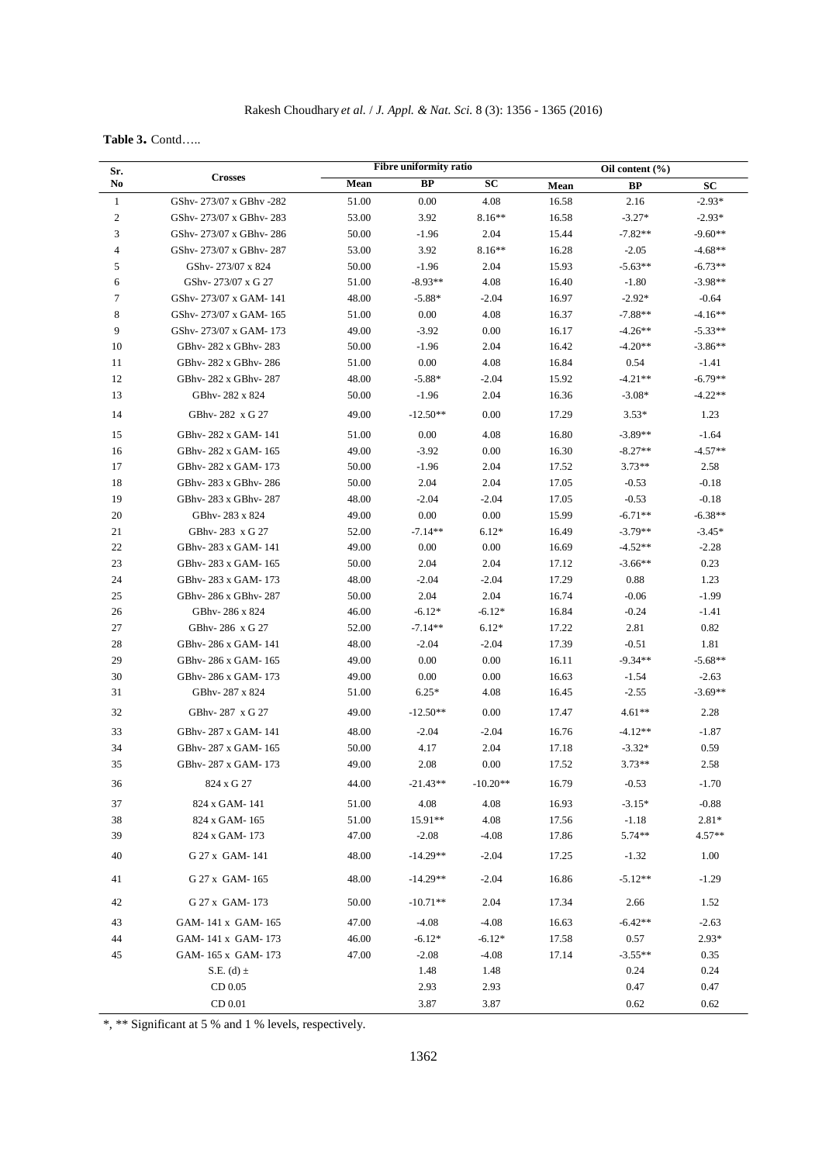#### **Table 3.** Contd…..

| Sr.            |                        |       | Fibre uniformity ratio |            |       | Oil content (%) |           |
|----------------|------------------------|-------|------------------------|------------|-------|-----------------|-----------|
| No             | <b>Crosses</b>         | Mean  | $\overline{BP}$        | SC         | Mean  | <b>BP</b>       | SC        |
| $\mathbf{1}$   | GShv-273/07 x GBhv-282 | 51.00 | 0.00                   | 4.08       | 16.58 | 2.16            | $-2.93*$  |
| $\sqrt{2}$     | GShv-273/07 x GBhv-283 | 53.00 | 3.92                   | $8.16**$   | 16.58 | $-3.27*$        | $-2.93*$  |
| 3              | GShv-273/07 x GBhv-286 | 50.00 | $-1.96$                | 2.04       | 15.44 | $-7.82**$       | $-9.60**$ |
| $\overline{4}$ | GShv-273/07 x GBhv-287 | 53.00 | 3.92                   | $8.16**$   | 16.28 | $-2.05$         | $-4.68**$ |
| 5              | GShv-273/07 x 824      | 50.00 | $-1.96$                | 2.04       | 15.93 | $-5.63**$       | $-6.73**$ |
| 6              | GShv-273/07 x G 27     | 51.00 | $-8.93**$              | 4.08       | 16.40 | $-1.80$         | $-3.98**$ |
| $\tau$         | GShv-273/07 x GAM-141  | 48.00 | $-5.88*$               | $-2.04$    | 16.97 | $-2.92*$        | $-0.64$   |
| $\,8\,$        | GShv-273/07 x GAM-165  | 51.00 | 0.00                   | 4.08       | 16.37 | $-7.88**$       | $-4.16**$ |
| 9              | GShv-273/07 x GAM-173  | 49.00 | $-3.92$                | $0.00\,$   | 16.17 | $-4.26**$       | $-5.33**$ |
| 10             | GBhv-282 x GBhv-283    | 50.00 | $-1.96$                | 2.04       | 16.42 | $-4.20**$       | $-3.86**$ |
| 11             | GBhv-282 x GBhv-286    | 51.00 | $0.00\,$               | 4.08       | 16.84 | 0.54            | $-1.41$   |
| 12             | GBhv-282 x GBhv-287    | 48.00 | $-5.88*$               | $-2.04$    | 15.92 | $-4.21**$       | $-6.79**$ |
| 13             | GBhv-282 x 824         | 50.00 | $-1.96$                | 2.04       | 16.36 | $-3.08*$        | $-4.22**$ |
| 14             | GBhv-282 x G 27        | 49.00 | $-12.50**$             | 0.00       | 17.29 | $3.53*$         | 1.23      |
| 15             | GBhv-282 x GAM-141     | 51.00 | 0.00                   | 4.08       | 16.80 | $-3.89**$       | $-1.64$   |
| 16             | GBhv-282 x GAM-165     | 49.00 | $-3.92$                | $0.00\,$   | 16.30 | $-8.27**$       | $-4.57**$ |
| 17             | GBhv-282 x GAM-173     | 50.00 | $-1.96$                | 2.04       | 17.52 | $3.73**$        | 2.58      |
| 18             | GBhv-283 x GBhv-286    | 50.00 | 2.04                   | 2.04       | 17.05 | $-0.53$         | $-0.18$   |
| 19             | GBhv-283 x GBhv-287    | 48.00 | $-2.04$                | $-2.04$    | 17.05 | $-0.53$         | $-0.18$   |
| 20             | GBhv-283 x 824         | 49.00 | 0.00                   | 0.00       | 15.99 | $-6.71**$       | $-6.38**$ |
| 21             | GBhv-283 x G 27        | 52.00 | $-7.14**$              | $6.12*$    | 16.49 | $-3.79**$       | $-3.45*$  |
| 22             | GBhv-283 x GAM-141     | 49.00 | 0.00                   | 0.00       | 16.69 | $-4.52**$       | $-2.28$   |
| 23             | GBhv-283 x GAM-165     | 50.00 | 2.04                   | 2.04       | 17.12 | $-3.66**$       | 0.23      |
| 24             | GBhv-283 x GAM-173     | 48.00 | $-2.04$                | $-2.04$    | 17.29 | 0.88            | 1.23      |
| 25             | GBhv-286 x GBhv-287    | 50.00 | 2.04                   | 2.04       | 16.74 | $-0.06$         | $-1.99$   |
| 26             | GBhv-286 x 824         | 46.00 | $-6.12*$               | $-6.12*$   | 16.84 | $-0.24$         | $-1.41$   |
| 27             | GBhv-286 x G 27        | 52.00 | $-7.14**$              | $6.12*$    | 17.22 | 2.81            | 0.82      |
| 28             | GBhv-286 x GAM-141     | 48.00 | $-2.04$                | $-2.04$    | 17.39 | $-0.51$         | 1.81      |
| 29             | GBhv-286 x GAM-165     | 49.00 | 0.00                   | 0.00       | 16.11 | $-9.34**$       | $-5.68**$ |
| 30             | GBhv-286 x GAM-173     | 49.00 | 0.00                   | 0.00       | 16.63 | $-1.54$         | $-2.63$   |
| 31             | GBhv-287 x 824         | 51.00 | $6.25*$                | 4.08       | 16.45 | $-2.55$         | $-3.69**$ |
| 32             | GBhv-287 x G 27        | 49.00 | $-12.50**$             | 0.00       | 17.47 | $4.61**$        | 2.28      |
| 33             | GBhv-287 x GAM-141     | 48.00 | $-2.04$                | $-2.04$    | 16.76 | $-4.12**$       | $-1.87$   |
| 34             | GBhv-287 x GAM-165     | 50.00 | 4.17                   | 2.04       | 17.18 | $-3.32*$        | 0.59      |
| 35             | GBhv-287 x GAM-173     | 49.00 | 2.08                   | $0.00\,$   | 17.52 | $3.73**$        | 2.58      |
| 36             | 824 x G 27             | 44.00 | $-21.43**$             | $-10.20**$ | 16.79 | $-0.53$         | $-1.70$   |
| 37             | 824 x GAM-141          | 51.00 | 4.08                   | 4.08       | 16.93 | $-3.15*$        | $-0.88$   |
| 38             | 824 x GAM-165          | 51.00 | 15.91**                | 4.08       | 17.56 | $-1.18$         | $2.81*$   |
| 39             | 824 x GAM-173          | 47.00 | $-2.08$                | $-4.08$    | 17.86 | 5.74**          | 4.57**    |
| 40             | G 27 x GAM-141         | 48.00 | $-14.29**$             | $-2.04$    | 17.25 | $-1.32$         | 1.00      |
| 41             | G 27 x GAM-165         | 48.00 | $-14.29**$             | $-2.04$    | 16.86 | $-5.12**$       | $-1.29$   |
| 42             | G 27 x GAM-173         | 50.00 | $-10.71**$             | 2.04       | 17.34 | 2.66            | 1.52      |
| 43             | GAM-141 x GAM-165      | 47.00 | $-4.08$                | $-4.08$    | 16.63 | $-6.42**$       | $-2.63$   |
| 44             | GAM-141 x GAM-173      | 46.00 | $-6.12*$               | $-6.12*$   | 17.58 | 0.57            | 2.93*     |
| 45             | GAM-165 x GAM-173      | 47.00 | $-2.08$                | $-4.08$    | 17.14 | $-3.55**$       | 0.35      |
|                | S.E. (d) $\pm$         |       | 1.48                   | 1.48       |       | 0.24            | 0.24      |
|                | $CD$ 0.05              |       | 2.93                   | 2.93       |       | 0.47            | 0.47      |
|                | CD 0.01                |       | 3.87                   | 3.87       |       | 0.62            | 0.62      |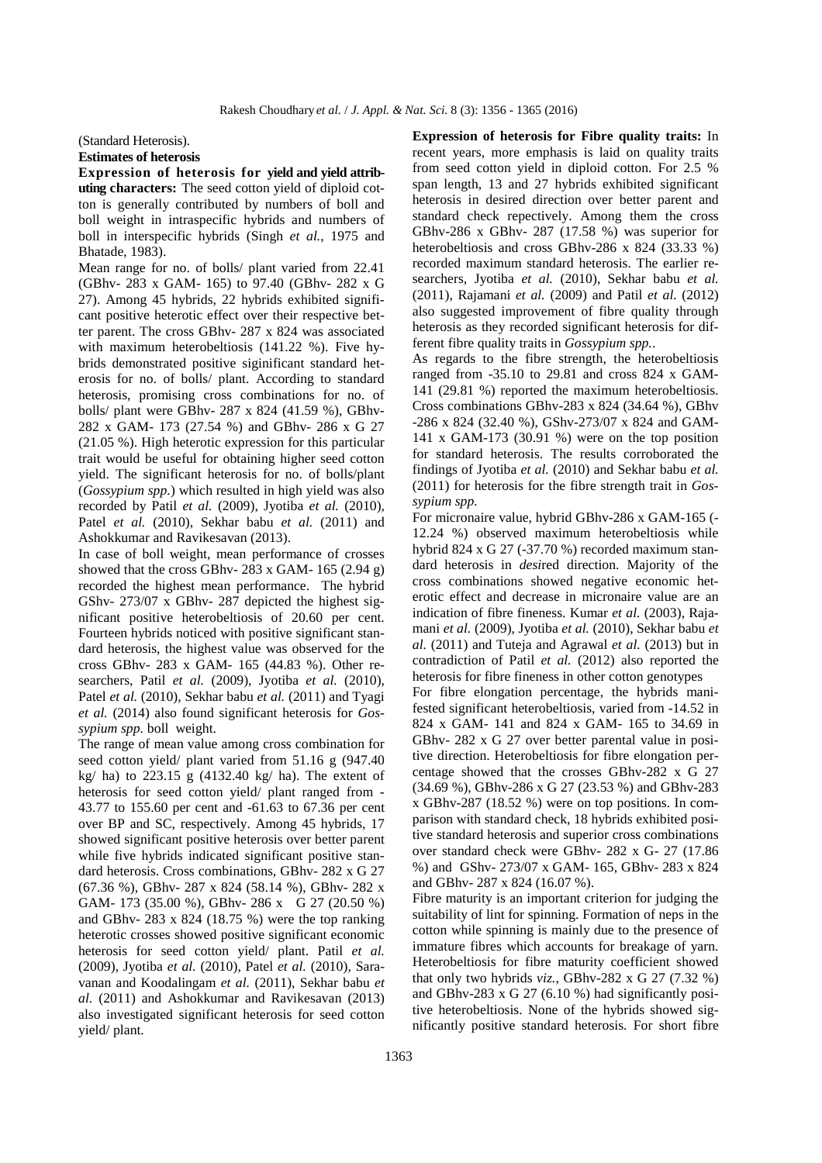(Standard Heterosis).

**Estimates of heterosis** 

**Expression of heterosis for yield and yield attributing characters:** The seed cotton yield of diploid cotton is generally contributed by numbers of boll and boll weight in intraspecific hybrids and numbers of boll in interspecific hybrids (Singh *et al.*, 1975 and Bhatade, 1983).

Mean range for no. of bolls/ plant varied from 22.41 (GBhv- 283 x GAM- 165) to 97.40 (GBhv- 282 x G 27). Among 45 hybrids, 22 hybrids exhibited significant positive heterotic effect over their respective better parent. The cross GBhv- 287 x 824 was associated with maximum heterobeltiosis (141.22 %). Five hybrids demonstrated positive siginificant standard heterosis for no. of bolls/ plant. According to standard heterosis, promising cross combinations for no. of bolls/ plant were GBhv- 287 x 824 (41.59 %), GBhv-282 x GAM- 173 (27.54 %) and GBhv- 286 x G 27 (21.05 %). High heterotic expression for this particular trait would be useful for obtaining higher seed cotton yield. The significant heterosis for no. of bolls/plant (*Gossypium spp.*) which resulted in high yield was also recorded by Patil *et al.* (2009), Jyotiba *et al.* (2010), Patel *et al.* (2010), Sekhar babu *et al.* (2011) and Ashokkumar and Ravikesavan (2013).

In case of boll weight, mean performance of crosses showed that the cross GBhv- 283 x GAM- 165 (2.94 g) recorded the highest mean performance. The hybrid GShv- 273/07 x GBhv- 287 depicted the highest significant positive heterobeltiosis of 20.60 per cent. Fourteen hybrids noticed with positive significant standard heterosis, the highest value was observed for the cross GBhv- 283 x GAM- 165 (44.83 %). Other researchers, Patil *et al.* (2009), Jyotiba *et al.* (2010), Patel *et al.* (2010), Sekhar babu *et al.* (2011) and Tyagi *et al.* (2014) also found significant heterosis for *Gossypium spp.* boll weight.

The range of mean value among cross combination for seed cotton yield/ plant varied from 51.16 g (947.40 kg/ ha) to 223.15 g (4132.40 kg/ ha). The extent of heterosis for seed cotton yield/ plant ranged from - 43.77 to 155.60 per cent and -61.63 to 67.36 per cent over BP and SC, respectively. Among 45 hybrids, 17 showed significant positive heterosis over better parent while five hybrids indicated significant positive standard heterosis. Cross combinations, GBhv- 282 x G 27 (67.36 %), GBhv- 287 x 824 (58.14 %), GBhv- 282 x GAM- 173 (35.00 %), GBhv- 286 x G 27 (20.50 %) and GBhv- 283 x 824 (18.75 %) were the top ranking heterotic crosses showed positive significant economic heterosis for seed cotton yield/ plant. Patil *et al.* (2009), Jyotiba *et al.* (2010), Patel *et al.* (2010), Saravanan and Koodalingam *et al.* (2011), Sekhar babu *et al.* (2011) and Ashokkumar and Ravikesavan (2013) also investigated significant heterosis for seed cotton yield/ plant.

**Expression of heterosis for Fibre quality traits:** In recent years, more emphasis is laid on quality traits from seed cotton yield in diploid cotton. For 2.5 % span length, 13 and 27 hybrids exhibited significant heterosis in desired direction over better parent and standard check repectively. Among them the cross GBhv-286 x GBhv- 287 (17.58 %) was superior for heterobeltiosis and cross GBhv-286 x 824 (33.33 %) recorded maximum standard heterosis. The earlier researchers, Jyotiba *et al.* (2010), Sekhar babu *et al.* (2011), Rajamani *et al.* (2009) and Patil *et al.* (2012) also suggested improvement of fibre quality through heterosis as they recorded significant heterosis for different fibre quality traits in *Gossypium spp.*.

As regards to the fibre strength, the heterobeltiosis ranged from -35.10 to 29.81 and cross 824 x GAM-141 (29.81 %) reported the maximum heterobeltiosis. Cross combinations GBhv-283 x 824 (34.64 %), GBhv -286 x 824 (32.40 %), GShv-273/07 x 824 and GAM-141 x GAM-173 (30.91 %) were on the top position for standard heterosis. The results corroborated the findings of Jyotiba *et al.* (2010) and Sekhar babu *et al.* (2011) for heterosis for the fibre strength trait in *Gossypium spp.*

For micronaire value, hybrid GBhv-286 x GAM-165 (- 12.24 %) observed maximum heterobeltiosis while hybrid 824 x G 27 (-37.70 %) recorded maximum standard heterosis in *desi*red direction. Majority of the cross combinations showed negative economic heterotic effect and decrease in micronaire value are an indication of fibre fineness. Kumar *et al.* (2003), Rajamani *et al.* (2009), Jyotiba *et al.* (2010), Sekhar babu *et al.* (2011) and Tuteja and Agrawal *et al.* (2013) but in contradiction of Patil *et al.* (2012) also reported the heterosis for fibre fineness in other cotton genotypes

For fibre elongation percentage, the hybrids manifested significant heterobeltiosis, varied from -14.52 in 824 x GAM- 141 and 824 x GAM- 165 to 34.69 in GBhv- 282 x G 27 over better parental value in positive direction. Heterobeltiosis for fibre elongation percentage showed that the crosses GBhv-282 x G 27 (34.69 %), GBhv-286 x G 27 (23.53 %) and GBhv-283 x GBhv-287 (18.52 %) were on top positions. In comparison with standard check, 18 hybrids exhibited positive standard heterosis and superior cross combinations over standard check were GBhv- 282 x G- 27 (17.86 %) and GShv- 273/07 x GAM- 165, GBhv- 283 x 824 and GBhv- 287 x 824 (16.07 %).

Fibre maturity is an important criterion for judging the suitability of lint for spinning. Formation of neps in the cotton while spinning is mainly due to the presence of immature fibres which accounts for breakage of yarn. Heterobeltiosis for fibre maturity coefficient showed that only two hybrids *viz.*, GBhv-282 x G 27 (7.32 %) and GBhv-283 x G 27 (6.10 %) had significantly positive heterobeltiosis. None of the hybrids showed significantly positive standard heterosis. For short fibre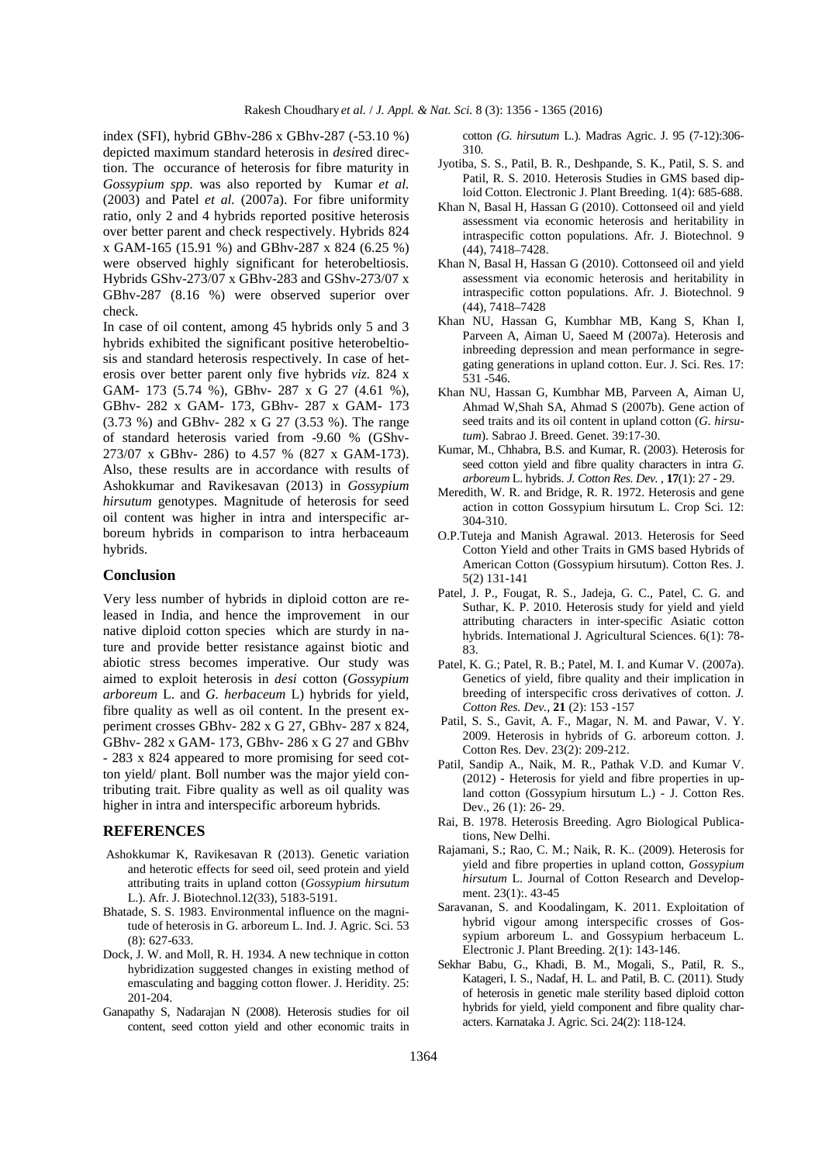index (SFI), hybrid GBhv-286 x GBhv-287 (-53.10 %) depicted maximum standard heterosis in *desi*red direction. The occurance of heterosis for fibre maturity in *Gossypium spp.* was also reported by Kumar *et al.* (2003) and Patel *et al.* (2007a). For fibre uniformity ratio, only 2 and 4 hybrids reported positive heterosis over better parent and check respectively. Hybrids 824 x GAM-165 (15.91 %) and GBhv-287 x 824 (6.25 %) were observed highly significant for heterobeltiosis. Hybrids GShv-273/07 x GBhv-283 and GShv-273/07 x GBhv-287 (8.16 %) were observed superior over check.

In case of oil content, among 45 hybrids only 5 and 3 hybrids exhibited the significant positive heterobeltiosis and standard heterosis respectively. In case of heterosis over better parent only five hybrids *viz.* 824 x GAM- 173 (5.74 %), GBhv- 287 x G 27 (4.61 %), GBhv- 282 x GAM- 173, GBhv- 287 x GAM- 173 (3.73 %) and GBhv- 282 x G 27 (3.53 %). The range of standard heterosis varied from -9.60 % (GShv-273/07 x GBhv- 286) to 4.57 % (827 x GAM-173). Also, these results are in accordance with results of Ashokkumar and Ravikesavan (2013) in *Gossypium hirsutum* genotypes. Magnitude of heterosis for seed oil content was higher in intra and interspecific arboreum hybrids in comparison to intra herbaceaum hybrids.

#### **Conclusion**

Very less number of hybrids in diploid cotton are released in India, and hence the improvement in our native diploid cotton species which are sturdy in nature and provide better resistance against biotic and abiotic stress becomes imperative. Our study was aimed to exploit heterosis in *desi* cotton (*Gossypium arboreum* L. and *G. herbaceum* L) hybrids for yield, fibre quality as well as oil content. In the present experiment crosses GBhv- 282 x G 27, GBhv- 287 x 824, GBhv- 282 x GAM- 173, GBhv- 286 x G 27 and GBhv - 283 x 824 appeared to more promising for seed cotton yield/ plant. Boll number was the major yield contributing trait. Fibre quality as well as oil quality was higher in intra and interspecific arboreum hybrids.

#### **REFERENCES**

- Ashokkumar K, Ravikesavan R (2013). Genetic variation and heterotic effects for seed oil, seed protein and yield attributing traits in upland cotton (*Gossypium hirsutum*  L.). Afr. J. Biotechnol.12(33), 5183-5191.
- Bhatade, S. S. 1983. Environmental influence on the magnitude of heterosis in G. arboreum L. Ind. J. Agric. Sci. 53 (8): 627-633.
- Dock, J. W. and Moll, R. H. 1934. A new technique in cotton hybridization suggested changes in existing method of emasculating and bagging cotton flower. J. Heridity. 25: 201-204.
- Ganapathy S, Nadarajan N (2008). Heterosis studies for oil content, seed cotton yield and other economic traits in

cotton *(G. hirsutum* L.). Madras Agric. J. 95 (7-12):306- 310.

- Jyotiba, S. S., Patil, B. R., Deshpande, S. K., Patil, S. S. and Patil, R. S. 2010. Heterosis Studies in GMS based diploid Cotton. Electronic J. Plant Breeding. 1(4): 685-688.
- Khan N, Basal H, Hassan G (2010). Cottonseed oil and yield assessment via economic heterosis and heritability in intraspecific cotton populations. Afr. J. Biotechnol. 9 (44), 7418–7428.
- Khan N, Basal H, Hassan G (2010). Cottonseed oil and yield assessment via economic heterosis and heritability in intraspecific cotton populations. Afr. J. Biotechnol. 9 (44), 7418–7428
- Khan NU, Hassan G, Kumbhar MB, Kang S, Khan I, Parveen A, Aiman U, Saeed M (2007a). Heterosis and inbreeding depression and mean performance in segregating generations in upland cotton. Eur. J. Sci. Res. 17: 531 -546.
- Khan NU, Hassan G, Kumbhar MB, Parveen A, Aiman U, Ahmad W,Shah SA, Ahmad S (2007b). Gene action of seed traits and its oil content in upland cotton (*G. hirsutum*). Sabrao J. Breed. Genet. 39:17-30.
- Kumar, M., Chhabra, B.S. and Kumar, R. (2003). Heterosis for seed cotton yield and fibre quality characters in intra *G. arboreum* L. hybrids. *J. Cotton Res. Dev. ,* **17**(1): 27 - 29.
- Meredith, W. R. and Bridge, R. R. 1972. Heterosis and gene action in cotton Gossypium hirsutum L. Crop Sci. 12: 304-310.
- O.P.Tuteja and Manish Agrawal. 2013. Heterosis for Seed Cotton Yield and other Traits in GMS based Hybrids of American Cotton (Gossypium hirsutum). Cotton Res. J. 5(2) 131-141
- Patel, J. P., Fougat, R. S., Jadeja, G. C., Patel, C. G. and Suthar, K. P. 2010. Heterosis study for yield and yield attributing characters in inter-specific Asiatic cotton hybrids. International J. Agricultural Sciences. 6(1): 78- 83.
- Patel, K. G.; Patel, R. B.; Patel, M. I. and Kumar V. (2007a). Genetics of yield, fibre quality and their implication in breeding of interspecific cross derivatives of cotton. *J. Cotton Res. Dev.,* **21** (2): 153 -157
- Patil, S. S., Gavit, A. F., Magar, N. M. and Pawar, V. Y. 2009. Heterosis in hybrids of G. arboreum cotton. J. Cotton Res. Dev. 23(2): 209-212.
- Patil, Sandip A., Naik, M. R., Pathak V.D. and Kumar V. (2012) - Heterosis for yield and fibre properties in upland cotton (Gossypium hirsutum L.) - J. Cotton Res. Dev., 26 (1): 26- 29.
- Rai, B. 1978. Heterosis Breeding. Agro Biological Publications, New Delhi.
- Rajamani, S.; Rao, C. M.; Naik, R. K.. (2009). Heterosis for yield and fibre properties in upland cotton, *Gossypium hirsutum* L. Journal of Cotton Research and Development. 23(1):. 43-45
- Saravanan, S. and Koodalingam, K. 2011. Exploitation of hybrid vigour among interspecific crosses of Gossypium arboreum L. and Gossypium herbaceum L. Electronic J. Plant Breeding. 2(1): 143-146.
- Sekhar Babu, G., Khadi, B. M., Mogali, S., Patil, R. S., Katageri, I. S., Nadaf, H. L. and Patil, B. C. (2011). Study of heterosis in genetic male sterility based diploid cotton hybrids for yield, yield component and fibre quality characters. Karnataka J. Agric. Sci. 24(2): 118-124.